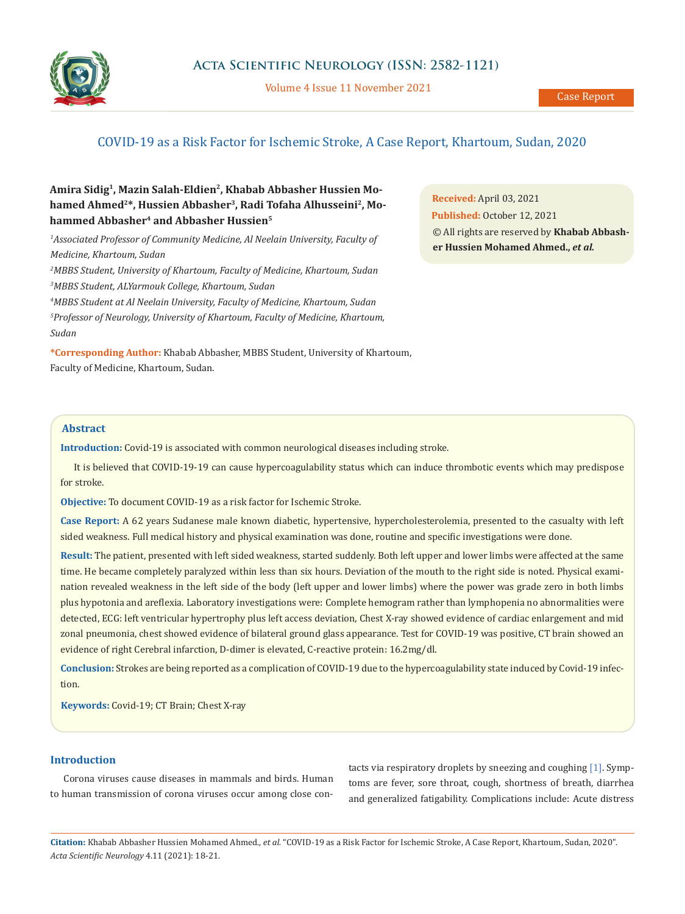

Volume 4 Issue 11 November 2021

# COVID-19 as a Risk Factor for Ischemic Stroke, A Case Report, Khartoum, Sudan, 2020

# **Amira Sidig1, Mazin Salah-Eldien2, Khabab Abbasher Hussien Mo**hamed Ahmed<sup>2\*</sup>, Hussien Abbasher<sup>3</sup>, Radi Tofaha Alhusseini<sup>2</sup>, Mohammed Abbasher<sup>4</sup> and Abbasher Hussien<sup>5</sup>

<sup>1</sup> Associated Professor of Community Medicine, Al Neelain University, Faculty of *Medicine, Khartoum, Sudan*

*2 MBBS Student, University of Khartoum, Faculty of Medicine, Khartoum, Sudan 3 MBBS Student, ALYarmouk College, Khartoum, Sudan* 

*4 MBBS Student at Al Neelain University, Faculty of Medicine, Khartoum, Sudan 5 Professor of Neurology, University of Khartoum, Faculty of Medicine, Khartoum,* 

**\*Corresponding Author:** Khabab Abbasher, MBBS Student, University of Khartoum, Faculty of Medicine, Khartoum, Sudan.

**Received:** April 03, 2021 **Published:** October 12, 2021 © All rights are reserved by **Khabab Abbasher Hussien Mohamed Ahmed.,** *et al.*

### **Abstract**

*Sudan* 

**Introduction:** Covid-19 is associated with common neurological diseases including stroke.

It is believed that COVID-19-19 can cause hypercoagulability status which can induce thrombotic events which may predispose for stroke.

**Objective:** To document COVID-19 as a risk factor for Ischemic Stroke.

**Case Report:** A 62 years Sudanese male known diabetic, hypertensive, hypercholesterolemia, presented to the casualty with left sided weakness. Full medical history and physical examination was done, routine and specific investigations were done.

**Result:** The patient, presented with left sided weakness, started suddenly. Both left upper and lower limbs were affected at the same time. He became completely paralyzed within less than six hours. Deviation of the mouth to the right side is noted. Physical examination revealed weakness in the left side of the body (left upper and lower limbs) where the power was grade zero in both limbs plus hypotonia and areflexia. Laboratory investigations were: Complete hemogram rather than lymphopenia no abnormalities were detected, ECG: left ventricular hypertrophy plus left access deviation, Chest X-ray showed evidence of cardiac enlargement and mid zonal pneumonia, chest showed evidence of bilateral ground glass appearance. Test for COVID-19 was positive, CT brain showed an evidence of right Cerebral infarction, D-dimer is elevated, C-reactive protein: 16.2mg/dl.

**Conclusion:** Strokes are being reported as a complication of COVID-19 due to the hypercoagulability state induced by Covid-19 infection.

**Keywords:** Covid-19; CT Brain; Chest X-ray

### **Introduction**

Corona viruses cause diseases in mammals and birds. Human to human transmission of corona viruses occur among close contacts via respiratory droplets by sneezing and coughing [1]. Symptoms are fever, sore throat, cough, shortness of breath, diarrhea and generalized fatigability. Complications include: Acute distress

**Citation:** Khabab Abbasher Hussien Mohamed Ahmed*., et al.* "COVID-19 as a Risk Factor for Ischemic Stroke, A Case Report, Khartoum, Sudan, 2020". *Acta Scientific Neurology* 4.11 (2021): 18-21.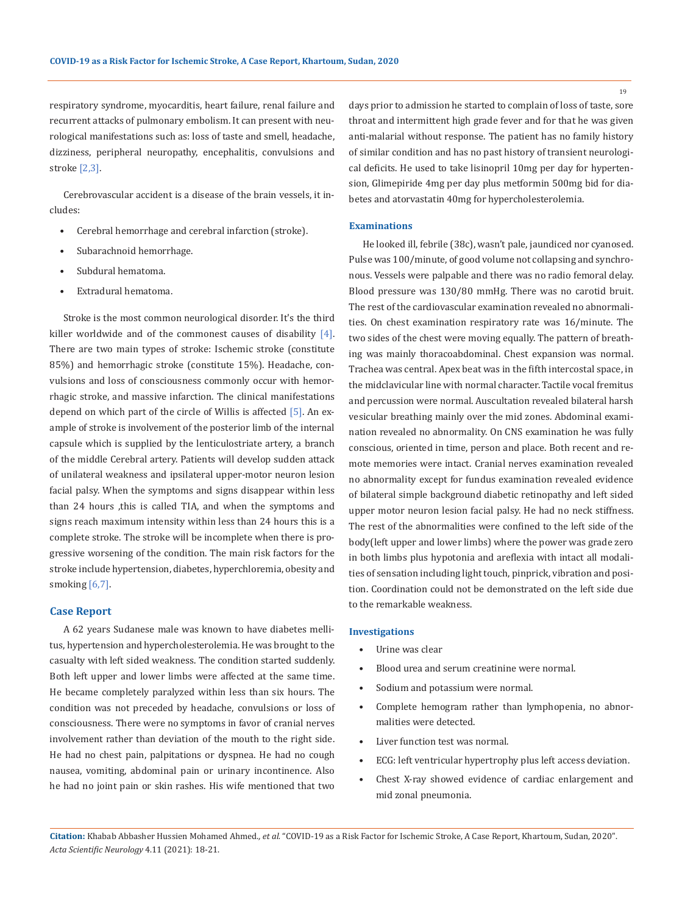respiratory syndrome, myocarditis, heart failure, renal failure and recurrent attacks of pulmonary embolism. It can present with neurological manifestations such as: loss of taste and smell, headache, dizziness, peripheral neuropathy, encephalitis, convulsions and stroke [2,3].

Cerebrovascular accident is a disease of the brain vessels, it includes:

- Cerebral hemorrhage and cerebral infarction (stroke).
- Subarachnoid hemorrhage.
- Subdural hematoma.
- Extradural hematoma.

Stroke is the most common neurological disorder. It's the third killer worldwide and of the commonest causes of disability  $[4]$ . There are two main types of stroke: Ischemic stroke (constitute 85%) and hemorrhagic stroke (constitute 15%). Headache, convulsions and loss of consciousness commonly occur with hemorrhagic stroke, and massive infarction. The clinical manifestations depend on which part of the circle of Willis is affected [5]. An example of stroke is involvement of the posterior limb of the internal capsule which is supplied by the lenticulostriate artery, a branch of the middle Cerebral artery. Patients will develop sudden attack of unilateral weakness and ipsilateral upper-motor neuron lesion facial palsy. When the symptoms and signs disappear within less than 24 hours ,this is called TIA, and when the symptoms and signs reach maximum intensity within less than 24 hours this is a complete stroke. The stroke will be incomplete when there is progressive worsening of the condition. The main risk factors for the stroke include hypertension, diabetes, hyperchloremia, obesity and smoking [6,7].

#### **Case Report**

A 62 years Sudanese male was known to have diabetes mellitus, hypertension and hypercholesterolemia. He was brought to the casualty with left sided weakness. The condition started suddenly. Both left upper and lower limbs were affected at the same time. He became completely paralyzed within less than six hours. The condition was not preceded by headache, convulsions or loss of consciousness. There were no symptoms in favor of cranial nerves involvement rather than deviation of the mouth to the right side. He had no chest pain, palpitations or dyspnea. He had no cough nausea, vomiting, abdominal pain or urinary incontinence. Also he had no joint pain or skin rashes. His wife mentioned that two

days prior to admission he started to complain of loss of taste, sore throat and intermittent high grade fever and for that he was given anti-malarial without response. The patient has no family history of similar condition and has no past history of transient neurological deficits. He used to take lisinopril 10mg per day for hypertension, Glimepiride 4mg per day plus metformin 500mg bid for diabetes and atorvastatin 40mg for hypercholesterolemia.

#### **Examinations**

He looked ill, febrile (38c), wasn't pale, jaundiced nor cyanosed. Pulse was 100/minute, of good volume not collapsing and synchronous. Vessels were palpable and there was no radio femoral delay. Blood pressure was 130/80 mmHg. There was no carotid bruit. The rest of the cardiovascular examination revealed no abnormalities. On chest examination respiratory rate was 16/minute. The two sides of the chest were moving equally. The pattern of breathing was mainly thoracoabdominal. Chest expansion was normal. Trachea was central. Apex beat was in the fifth intercostal space, in the midclavicular line with normal character. Tactile vocal fremitus and percussion were normal. Auscultation revealed bilateral harsh vesicular breathing mainly over the mid zones. Abdominal examination revealed no abnormality. On CNS examination he was fully conscious, oriented in time, person and place. Both recent and remote memories were intact. Cranial nerves examination revealed no abnormality except for fundus examination revealed evidence of bilateral simple background diabetic retinopathy and left sided upper motor neuron lesion facial palsy. He had no neck stiffness. The rest of the abnormalities were confined to the left side of the body(left upper and lower limbs) where the power was grade zero in both limbs plus hypotonia and areflexia with intact all modalities of sensation including light touch, pinprick, vibration and position. Coordination could not be demonstrated on the left side due to the remarkable weakness.

#### **Investigations**

- Urine was clear
- Blood urea and serum creatinine were normal.
- Sodium and potassium were normal.
- Complete hemogram rather than lymphopenia, no abnormalities were detected.
- Liver function test was normal.
- ECG: left ventricular hypertrophy plus left access deviation.
- Chest X-ray showed evidence of cardiac enlargement and mid zonal pneumonia.

**Citation:** Khabab Abbasher Hussien Mohamed Ahmed*., et al.* "COVID-19 as a Risk Factor for Ischemic Stroke, A Case Report, Khartoum, Sudan, 2020". *Acta Scientific Neurology* 4.11 (2021): 18-21.

19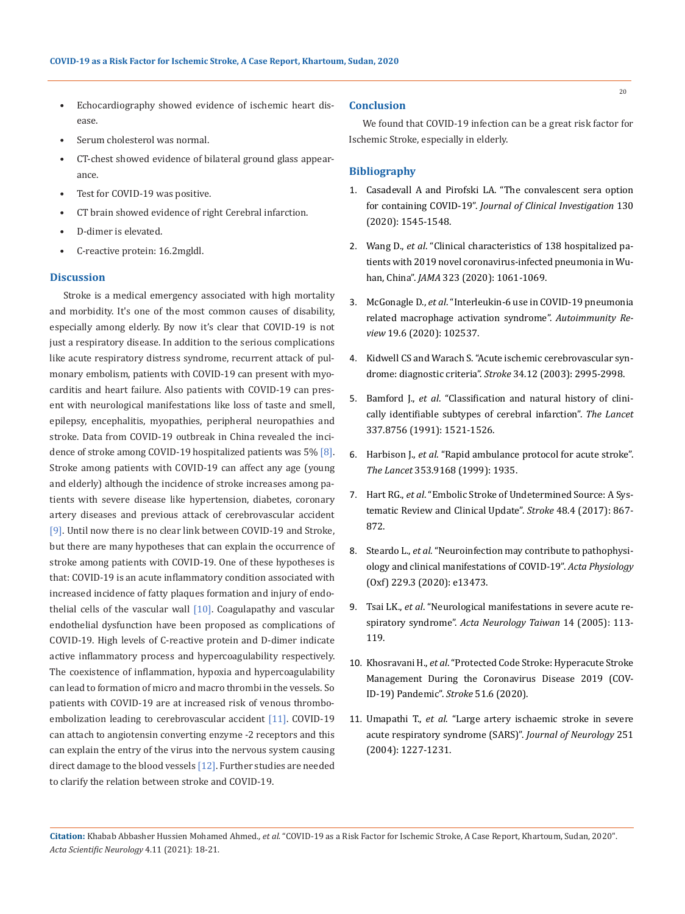- Echocardiography showed evidence of ischemic heart disease.
- Serum cholesterol was normal.
- CT-chest showed evidence of bilateral ground glass appearance.
- Test for COVID-19 was positive.
- CT brain showed evidence of right Cerebral infarction.
- D-dimer is elevated.
- C-reactive protein: 16.2mgldl.

#### **Discussion**

Stroke is a medical emergency associated with high mortality and morbidity. It's one of the most common causes of disability, especially among elderly. By now it's clear that COVID-19 is not just a respiratory disease. In addition to the serious complications like acute respiratory distress syndrome, recurrent attack of pulmonary embolism, patients with COVID-19 can present with myocarditis and heart failure. Also patients with COVID-19 can present with neurological manifestations like loss of taste and smell, epilepsy, encephalitis, myopathies, peripheral neuropathies and stroke. Data from COVID-19 outbreak in China revealed the incidence of stroke among COVID-19 hospitalized patients was 5% [8]. Stroke among patients with COVID-19 can affect any age (young and elderly) although the incidence of stroke increases among patients with severe disease like hypertension, diabetes, coronary artery diseases and previous attack of cerebrovascular accident [9]. Until now there is no clear link between COVID-19 and Stroke, but there are many hypotheses that can explain the occurrence of stroke among patients with COVID-19. One of these hypotheses is that: COVID-19 is an acute inflammatory condition associated with increased incidence of fatty plaques formation and injury of endothelial cells of the vascular wall  $[10]$ . Coagulapathy and vascular endothelial dysfunction have been proposed as complications of COVID-19. High levels of C-reactive protein and D-dimer indicate active inflammatory process and hypercoagulability respectively. The coexistence of inflammation, hypoxia and hypercoagulability can lead to formation of micro and macro thrombi in the vessels. So patients with COVID-19 are at increased risk of venous thromboembolization leading to cerebrovascular accident [11]. COVID-19 can attach to angiotensin converting enzyme -2 receptors and this can explain the entry of the virus into the nervous system causing direct damage to the blood vessels [12]. Further studies are needed to clarify the relation between stroke and COVID-19.

#### **Conclusion**

We found that COVID-19 infection can be a great risk factor for Ischemic Stroke, especially in elderly.

#### **Bibliography**

- 1. [Casadevall A and Pirofski LA. "The convalescent sera option](https://pubmed.ncbi.nlm.nih.gov/32167489/)  for containing COVID-19". *[Journal of Clinical Investigation](https://pubmed.ncbi.nlm.nih.gov/32167489/)* 130 [\(2020\): 1545-1548.](https://pubmed.ncbi.nlm.nih.gov/32167489/)
- 2. Wang D., *et al*[. "Clinical characteristics of 138 hospitalized pa](https://jamanetwork.com/journals/jama/fullarticle/2761044)[tients with 2019 novel coronavirus-infected pneumonia in Wu](https://jamanetwork.com/journals/jama/fullarticle/2761044)han, China". *JAMA* [323 \(2020\): 1061-1069.](https://jamanetwork.com/journals/jama/fullarticle/2761044)
- 3. McGonagle D., *et al*[. "Interleukin-6 use in COVID-19 pneumonia](https://www.researchgate.net/publication/340432697_Interleukin-6_use_in_COVID-19_pneumonia_related_macrophage_activation_syndrome)  [related macrophage activation syndrome".](https://www.researchgate.net/publication/340432697_Interleukin-6_use_in_COVID-19_pneumonia_related_macrophage_activation_syndrome) *Autoimmunity Review* [19.6 \(2020\): 102537.](https://www.researchgate.net/publication/340432697_Interleukin-6_use_in_COVID-19_pneumonia_related_macrophage_activation_syndrome)
- 4. [Kidwell CS and Warach S. "Acute ischemic cerebrovascular syn](https://www.ahajournals.org/doi/10.1161/01.str.0000098902.69855.a9)[drome: diagnostic criteria".](https://www.ahajournals.org/doi/10.1161/01.str.0000098902.69855.a9) *Stroke* 34.12 (2003): 2995-2998.
- 5. Bamford J., *et al*[. "Classification and natural history of clini](https://pubmed.ncbi.nlm.nih.gov/1675378/)[cally identifiable subtypes of cerebral infarction".](https://pubmed.ncbi.nlm.nih.gov/1675378/) *The Lancet* [337.8756 \(1991\): 1521-1526.](https://pubmed.ncbi.nlm.nih.gov/1675378/)
- 6. Harbison J., *et al*[. "Rapid ambulance protocol for acute stroke".](https://pubmed.ncbi.nlm.nih.gov/10371574/)  *The Lancet* [353.9168 \(1999\): 1935.](https://pubmed.ncbi.nlm.nih.gov/10371574/)
- 7. Hart RG., *et al*[. "Embolic Stroke of Undetermined Source: A Sys](https://pubmed.ncbi.nlm.nih.gov/28265016/)[tematic Review and Clinical Update".](https://pubmed.ncbi.nlm.nih.gov/28265016/) *Stroke* 48.4 (2017): 867- [872.](https://pubmed.ncbi.nlm.nih.gov/28265016/)
- 8. Steardo L., *et al*[. "Neuroinfection may contribute to pathophysi](https://pubmed.ncbi.nlm.nih.gov/32223077/)[ology and clinical manifestations of COVID-19".](https://pubmed.ncbi.nlm.nih.gov/32223077/) *Acta Physiology* [\(Oxf\) 229.3 \(2020\): e13473.](https://pubmed.ncbi.nlm.nih.gov/32223077/)
- 9. Tsai LK., *et al*[. "Neurological manifestations in severe acute re](https://pubmed.ncbi.nlm.nih.gov/16252612/)spiratory syndrome". *[Acta Neurology Taiwan](https://pubmed.ncbi.nlm.nih.gov/16252612/)* 14 (2005): 113- [119.](https://pubmed.ncbi.nlm.nih.gov/16252612/)
- 10. Khosravani H., *et al*[. "Protected Code Stroke: Hyperacute Stroke](https://www.ahajournals.org/doi/10.1161/STROKEAHA.120.029838)  [Management During the Coronavirus Disease 2019 \(COV-](https://www.ahajournals.org/doi/10.1161/STROKEAHA.120.029838)[ID-19\) Pandemic".](https://www.ahajournals.org/doi/10.1161/STROKEAHA.120.029838) *Stroke* 51.6 (2020).
- 11. Umapathi T., *et al*[. "Large artery ischaemic stroke in severe](https://link.springer.com/article/10.1007/s00415-004-0519-8)  [acute respiratory syndrome \(SARS\)".](https://link.springer.com/article/10.1007/s00415-004-0519-8) *Journal of Neurology* 251 [\(2004\): 1227-1231.](https://link.springer.com/article/10.1007/s00415-004-0519-8)

**Citation:** Khabab Abbasher Hussien Mohamed Ahmed*., et al.* "COVID-19 as a Risk Factor for Ischemic Stroke, A Case Report, Khartoum, Sudan, 2020". *Acta Scientific Neurology* 4.11 (2021): 18-21.